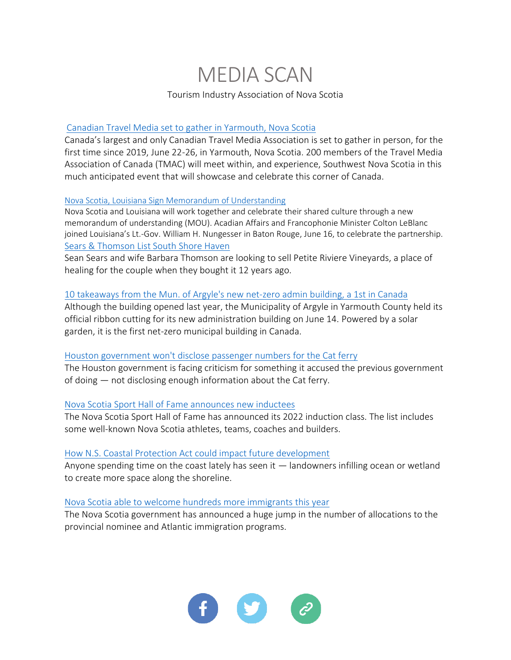# MEDIA SCAN

#### Tourism Industry Association of Nova Scotia

#### [Canadian Travel Media set to gather in Yarmouth, Nova Scotia](https://www.travelmedia.ca/news-item/canadian-travel-media-set-gather-yarmouth-nova-scotia)

Canada's largest and only Canadian Travel Media Association is set to gather in person, for the first time since 2019, June 22-26, in Yarmouth, Nova Scotia. 200 members of the Travel Media Association of Canada (TMAC) will meet within, and experience, Southwest Nova Scotia in this much anticipated event that will showcase and celebrate this corner of Canada.

### [Nova Scotia, Louisiana Sign Memorandum of Understanding](https://novascotia.ca/news/release/?id=20220616004)

Nova Scotia and Louisiana will work together and celebrate their shared culture through a new memorandum of understanding (MOU). Acadian Affairs and Francophonie Minister Colton LeBlanc joined Louisiana's Lt.-Gov. William H. Nungesser in Baton Rouge, June 16, to celebrate the partnership. [Sears & Thomson List South Shore Haven](https://www.allnovascotia.com/headlines?lineup=business&story_key=146312&date=2022-06-17)

Sean Sears and wife Barbara Thomson are looking to sell Petite Riviere Vineyards, a place of healing for the couple when they bought it 12 years ago.

### [10 takeaways from the Mun. of Argyle's new net-zero admin building, a 1st in Canada](https://www.saltwire.com/halifax/communities/southwest-nova-scotia/if-you-build-it-10-takeaways-from-the-mun-of-argyles-new-net-zero-admin-building-a-1st-in-canada-100744540/)

Although the building opened last year, the Municipality of Argyle in Yarmouth County held its official ribbon cutting for its new administration building on June 14. Powered by a solar garden, it is the first net-zero municipal building in Canada.

## [Houston government won't disclose passenger numbers for the Cat ferry](https://www.cbc.ca/news/canada/nova-scotia/ns-won-t-disclose-cat-ferry-passenger-numbers-1.6491295)

The Houston government is facing criticism for something it accused the previous government of doing — not disclosing enough information about the Cat ferry.

## [Nova Scotia Sport Hall of Fame announces new inductees](https://atlantic.ctvnews.ca/nova-scotia-sport-hall-of-fame-announces-new-inductees-1.5950291)

The Nova Scotia Sport Hall of Fame has announced its 2022 induction class. The list includes some well-known Nova Scotia athletes, teams, coaches and builders.

## [How N.S. Coastal Protection Act could impact future development](https://www.cbc.ca/player/play/2044088899644)

Anyone spending time on the coast lately has seen it — landowners infilling ocean or wetland to create more space along the shoreline.

#### [Nova Scotia able to welcome hundreds more immigrants this year](https://www.cbc.ca/news/canada/nova-scotia/nova-scotia-immigrant-allocation-program-boost-1.6490782)

The Nova Scotia government has announced a huge jump in the number of allocations to the provincial nominee and Atlantic immigration programs.